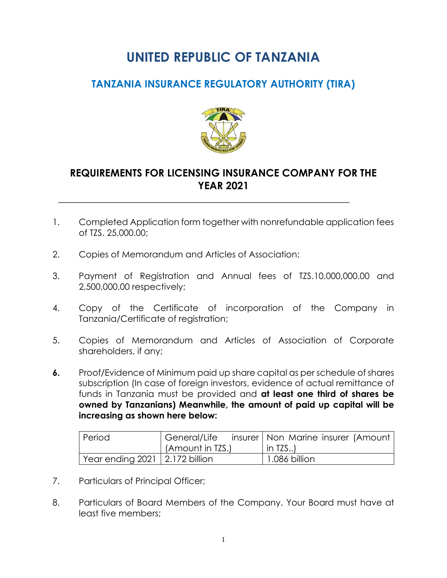## **UNITED REPUBLIC OF TANZANIA**

## **TANZANIA INSURANCE REGULATORY AUTHORITY (TIRA)**



## **REQUIREMENTS FOR LICENSING INSURANCE COMPANY FOR THE YEAR 2021**

 **\_\_\_\_\_\_\_\_\_\_\_\_\_\_\_\_\_\_\_\_\_\_\_\_\_\_\_\_\_\_\_\_\_\_\_\_\_\_\_\_\_\_\_\_\_\_\_\_\_\_\_\_\_\_\_\_\_**

- 1. Completed Application form together with nonrefundable application fees of TZS. 25,000.00;
- 2. Copies of Memorandum and Articles of Association;
- 3. Payment of Registration and Annual fees of TZS.10.000,000.00 and 2,500,000.00 respectively;
- 4. Copy of the Certificate of incorporation of the Company in Tanzania/Certificate of registration;
- 5. Copies of Memorandum and Articles of Association of Corporate shareholders, if any;
- **6.** Proof/Evidence of Minimum paid up share capital as per schedule of shares subscription (In case of foreign investors, evidence of actual remittance of funds in Tanzania must be provided and **at least one third of shares be owned by Tanzanians) Meanwhile, the amount of paid up capital will be increasing as shown here below:**

| Period                             | General/Life     | insurer   Non Marine insurer (Amount |
|------------------------------------|------------------|--------------------------------------|
|                                    | (Amount in TZS.) | $\mid$ in TZS)                       |
| Year ending $2021$   2.172 billion |                  | 1.086 billion                        |

- 7. Particulars of Principal Officer;
- 8. Particulars of Board Members of the Company. Your Board must have at least five members;